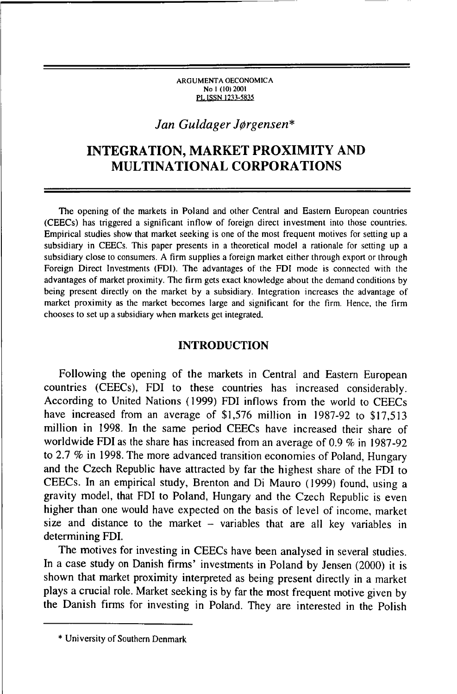#### ARGUMENTA OECONOMICA No 1 (10) 2001 PL ISSN 1233-5835

## *Jan Guldager J0rgensen\**

# **INTEGRATION, MARKET PROXIMITY AND MULTINATIONAL CORPORATIONS**

The opening of the markets in Poland and other Central and Eastern European countries (CEECs) has triggered a significant inflow of foreign direct investment into those countries. Empirical studies show that market seeking is one of the most frequent motives for setting up a subsidiary in CEECs. This paper presents in a theoretical model a rationale for setting up a subsidiary close to consumers. A firm supplies a foreign market either through export or through Foreign Direct Investments (FDI). The advantages of the FDI mode is connected with the advantages of market proximity. The firm gets exact knowledge about the demand conditions by being present directly on the market by a subsidiary. Integration increases the advantage of market proximity as the market becomes large and significant for the firm. Hence, the firm chooses to set up a subsidiary when markets get integrated.

## **INTRODUCTION**

Following the opening of the markets in Central and Eastern European countries (CEECs), FDI to these countries has increased considerably. According to United Nations (1999) FDI inflows from the world to CEECs have increased from an average of \$1,576 million in 1987-92 to \$17,513 million in 1998. In the same period CEECs have increased their share of worldwide FDI as the share has increased from an average of 0.9 *%* in 1987-92 to 2.7 *%* in 1998. The more advanced transition economies of Poland, Hungary and the Czech Republic have attracted by far the highest share of the FDI to CEECs. In an empirical study, Brenton and Di Mauro (1999) found, using a gravity model, that FDI to Poland, Hungary and the Czech Republic is even higher than one would have expected on the basis of level of income, market size and distance to the market  $-$  variables that are all key variables in determining FDI.

The motives for investing in CEECs have been analysed in several studies. In a case study on Danish firms' investments in Poland by Jensen (2000) it is shown that market proximity interpreted as being present directly in a market plays a crucial role. Market seeking is by far the most frequent motive given by the Danish firms for investing in Poland. They are interested in the Polish

<sup>\*</sup> University of Southern Denmark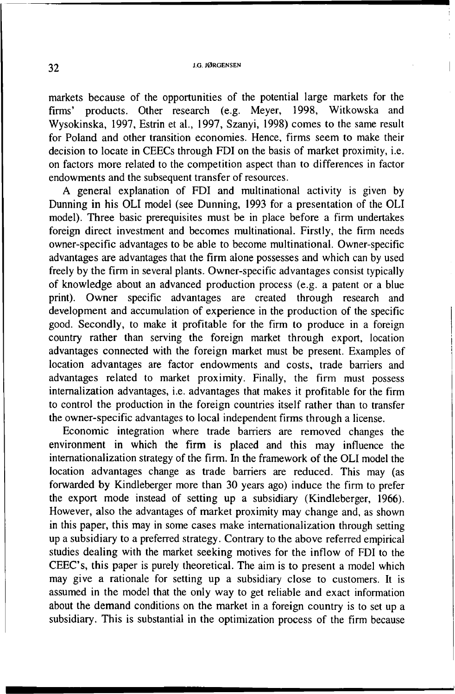markets because of the opportunities of the potential large markets for the firms' products. Other research (e.g. Meyer, 1998, Witkowska and Wysokińska, 1997, Estrin et al., 1997, Szanyi, 1998) comes to the same result for Poland and other transition economies. Hence, firms seem to make their decision to locate in CEECs through FDI on the basis of market proximity, i.e. on factors more related to the competition aspect than to differences in factor endowments and the subsequent transfer of resources.

A general explanation of FDI and multinational activity is given by Dunning in his OLI model (see Dunning, 1993 for a presentation of the OLI model). Three basic prerequisites must be in place before a firm undertakes foreign direct investment and becomes multinational. Firstly, the firm needs owner-specific advantages to be able to become multinational. Owner-specific advantages are advantages that the firm alone possesses and which can by used freely by the firm in several plants. Owner-specific advantages consist typically of knowledge about an advanced production process (e.g. a patent or a blue print). Owner specific advantages are created through research and development and accumulation of experience in the production of the specific good. Secondly, to make it profitable for the firm to produce in a foreign country rather than serving the foreign market through export, location advantages connected with the foreign market must be present. Examples of location advantages are factor endowments and costs, trade barriers and advantages related to market proximity. Finally, the firm must possess internalization advantages, i.e. advantages that makes it profitable for the firm to control the production in the foreign countries itself rather than to transfer the owner-specific advantages to local independent firms through a license.

Economic integration where trade barriers are removed changes the environment in which the firm is placed and this may influence the internationalization strategy of the firm. In the framework of the OLI model the location advantages change as trade barriers are reduced. This may (as forwarded by Kindleberger more than 30 years ago) induce the firm to prefer the export mode instead of setting up a subsidiary (Kindleberger, 1966). However, also the advantages of market proximity may change and, as shown in this paper, this may in some cases make internationalization through setting up a subsidiary to a preferred strategy. Contrary to the above referred empirical studies dealing with the market seeking motives for the inflow of FDI to the CEEC's, this paper is purely theoretical. The aim is to present a model which may give a rationale for setting up a subsidiary close to customers. It is assumed in the model that the only way to get reliable and exact information about the demand conditions on the market in a foreign country is to set up a subsidiary. This is substantial in the optimization process of the firm because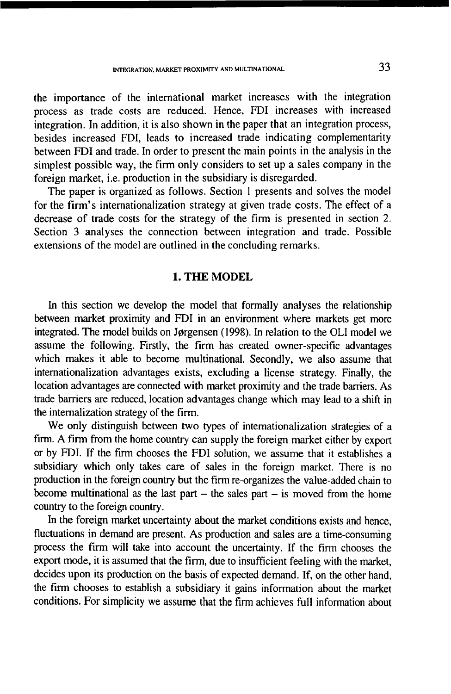the importance of the international market increases with the integration process as trade costs are reduced. Hence, FDI increases with increased integration. In addition, it is also shown in the paper that an integration process, besides increased FDI, leads to increased trade indicating complementarity between FDI and trade. In order to present the main points in the analysis in the simplest possible way, the firm only considers to set up a sales company in the foreign market, i.e. production in the subsidiary is disregarded.

The paper is organized as follows. Section 1 presents and solves the model for the firm 's internationalization strategy at given trade costs. The effect of a decrease of trade costs for the strategy of the firm is presented in section 2. Section 3 analyses the connection between integration and trade. Possible extensions of the model are outlined in the concluding remarks.

## **1. THE MODEL**

In this section we develop the model that formally analyses the relationship between market proximity and FDI in an environment where markets get more integrated. The model builds on Jørgensen (1998). In relation to the OLI model we assume the following. Firstly, the firm has created owner-specific advantages which makes it able to become multinational. Secondly, we also assume that internationalization advantages exists, excluding a license strategy. Finally, the location advantages are connected with market proximity and the trade barriers. As trade barriers are reduced, location advantages change which may lead to a shift in the internalization strategy of the firm.

We only distinguish between two types of internationalization strategies of a firm. A firm from the home country can supply the foreign market either by export or by FDI. If the firm chooses the FDI solution, we assume that it establishes a subsidiary which only takes care of sales in the foreign market. There is no production in the foreign country but the firm re-organizes the value-added chain to become multinational as the last part  $-$  the sales part  $-$  is moved from the home country to the foreign country.

In the foreign market uncertainty about the market conditions exists and hence, fluctuations in demand are present. As production and sales are a time-consuming process the firm will take into account the uncertainty. If the firm chooses the export mode, it is assumed that the firm, due to insufficient feeling with the market, decides upon its production on the basis of expected demand. If, on the other hand, the firm chooses to establish a subsidiary it gains information about the market conditions. For simplicity we assume that the firm achieves full information about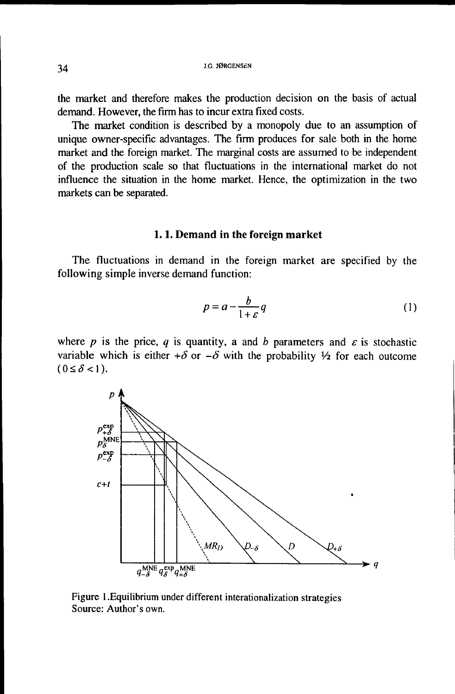the market and therefore makes the production decision on the basis of actual demand. However, the firm has to incur extra fixed costs.

The market condition is described by a monopoly due to an assumption of unique owner-specific advantages. The firm produces for sale both in the home market and the foreign market. The marginal costs are assumed to be independent of the production scale so that fluctuations in the international market do not influence the situation in the home market. Hence, the optimization in the two markets can be separated.

## **1.1. Demand in the foreign market**

The fluctuations in demand in the foreign market are specified by the following simple inverse demand function:

$$
p = a - \frac{b}{1 + \varepsilon} q \tag{1}
$$

where *p* is the price, *q* is quantity, a and *b* parameters and  $\varepsilon$  is stochastic variable which is either  $+\delta$  or  $-\delta$  with the probability  $\frac{1}{2}$  for each outcome  $(0 \le \delta < 1)$ .



Figure 1 .Equilibrium under different interationalization strategies Source: Author's own.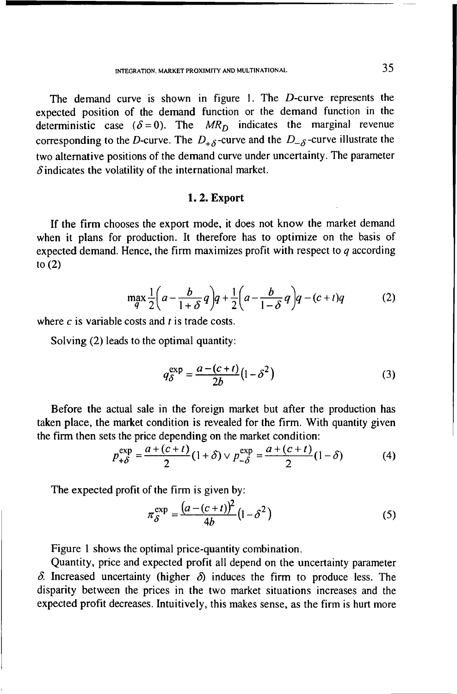The demand curve is shown in figure 1. The D-curve represents the expected position of the demand function or the demand function in the deterministic case  $(\delta = 0)$ . The  $MR<sub>D</sub>$  indicates the marginal revenue corresponding to the *D*-curve. The  $D_{+\delta}$ -curve and the  $D_{-\delta}$ -curve illustrate the two alternative positions of the demand curve under uncertainty. The parameter  $\delta$  indicates the volatility of the international market.

#### **1.2. Export**

If the firm chooses the export mode, it does not know the market demand when it plans for production. It therefore has to optimize on the basis of expected demand. Hence, the firm maximizes profit with respect to *q* according to (2)

$$
\max_{q} \frac{1}{2} \left( a - \frac{b}{1+\delta} q \right) q + \frac{1}{2} \left( a - \frac{b}{1-\delta} q \right) q - (c+t) q \tag{2}
$$

where *c* is variable costs and *t* is trade costs.

Solving (2) leads to the optimal quantity:

$$
q_{\delta}^{\exp} = \frac{a - (c + t)}{2b} (1 - \delta^2)
$$
 (3)

Before the actual sale in the foreign market but after the production has taken place, the market condition is revealed for the firm. With quantity given the firm then sets the price depending on the market condition:

$$
p_{+\delta}^{\exp} = \frac{a + (c + t)}{2} (1 + \delta) \vee p_{-\delta}^{\exp} = \frac{a + (c + t)}{2} (1 - \delta) \tag{4}
$$

The expected profit of the firm is given by:

$$
\pi_{\delta}^{\exp} = \frac{(a - (c + t))^2}{4b} \left(1 - \delta^2\right) \tag{5}
$$

Figure 1 shows the optimal price-quantity combination.

Quantity, price and expected profit all depend on the uncertainty parameter  $\delta$ . Increased uncertainty (higher  $\delta$ ) induces the firm to produce less. The disparity between the prices in the two market situations increases and the expected profit decreases. Intuitively, this makes sense, as the firm is hurt more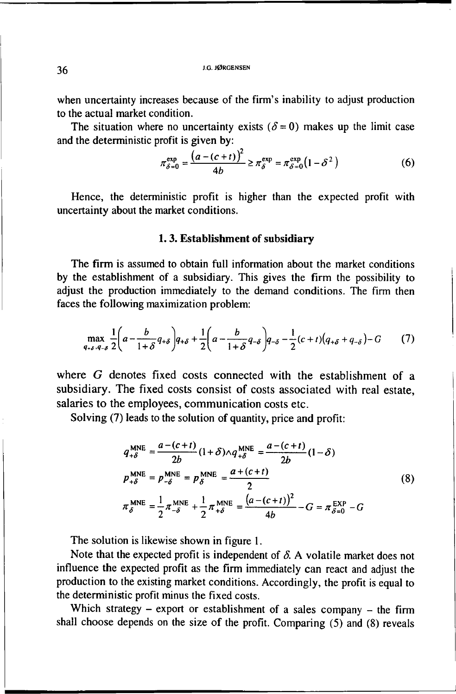when uncertainty increases because of the firm's inability to adjust production to the actual market condition.

The situation where no uncertainty exists  $(\delta = 0)$  makes up the limit case and the deterministic profit is given by:

$$
\pi_{\delta=0}^{\exp} = \frac{\left(a - (c + t)\right)^2}{4b} \ge \pi_{\delta}^{\exp} = \pi_{\delta=0}^{\exp} \left(1 - \delta^2\right) \tag{6}
$$

Hence, the deterministic profit is higher than the expected profit with uncertainty about the market conditions.

#### **1.3. Establishment of subsidiary**

The firm is assumed to obtain full information about the market conditions by the establishment of a subsidiary. This gives the firm the possibility to adjust the production immediately to the demand conditions. The firm then faces the following maximization problem:

$$
\max_{q_{+,\delta},q_{-,\delta}} \frac{1}{2} \left( a - \frac{b}{1+\delta} q_{+,\delta} \right) q_{+,\delta} + \frac{1}{2} \left( a - \frac{b}{1+\delta} q_{-,\delta} \right) q_{-,\delta} - \frac{1}{2} (c+t) \left( q_{+,\delta} + q_{-,\delta} \right) - G \tag{7}
$$

where *G* denotes fixed costs connected with the establishment of a subsidiary. The fixed costs consist of costs associated with real estate, salaries to the employees, communication costs etc.

Solving (7) leads to the solution of quantity, price and profit:

$$
q_{+\delta}^{\text{MNE}} = \frac{a - (c + t)}{2b} (1 + \delta) \wedge q_{+\delta}^{\text{MNE}} = \frac{a - (c + t)}{2b} (1 - \delta)
$$
  
\n
$$
p_{+\delta}^{\text{MNE}} = p_{-\delta}^{\text{MNE}} = p_{\delta}^{\text{MNE}} = \frac{a + (c + t)}{2}
$$
  
\n
$$
\pi_{\delta}^{\text{MNE}} = \frac{1}{2} \pi_{-\delta}^{\text{MNE}} + \frac{1}{2} \pi_{+\delta}^{\text{MNE}} = \frac{(a - (c + t))^2}{4b} - G = \pi_{\delta = 0}^{\text{EXP}} - G
$$
\n(8)

The solution is likewise shown in figure 1.

Note that the expected profit is independent of  $\delta$ . A volatile market does not influence the expected profit as the firm immediately can react and adjust the production to the existing market conditions. Accordingly, the profit is equal to the deterministic profit minus the fixed costs.

Which strategy – export or establishment of a sales company – the firm shall choose depends on the size of the profit. Comparing (5) and (8) reveals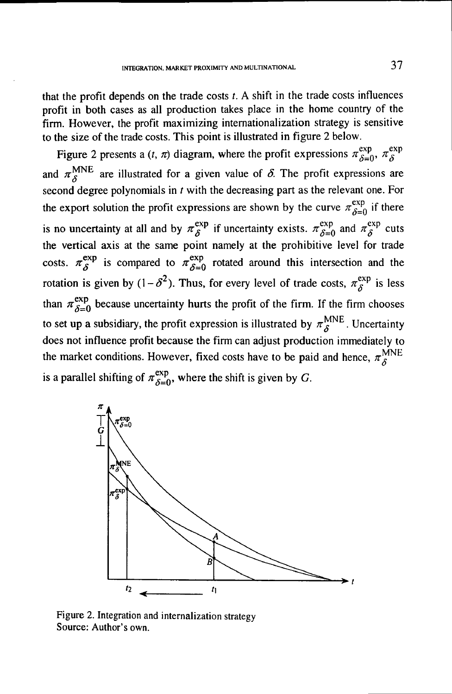that the profit depends on the trade costs *t.* A shift in the trade costs influences profit in both cases as all production takes place in the home country of the firm. However, the profit maximizing internationalization strategy is sensitive to the size of the trade costs. This point is illustrated in figure 2 below.

Figure 2 presents a  $(t, \pi)$  diagram, where the profit expressions  $\pi^{exp}_{\delta=0}$ ,  $\pi^{exp}_{\delta}$ and  $\pi_s^{\text{MNE}}$  are illustrated for a given value of  $\delta$ . The profit expressions are second degree polynomials in *t* with the decreasing part as the relevant one. For the export solution the profit expressions are shown by the curve  $\pi_{\delta=0}^{\exp}$  if there is no uncertainty at all and by  $\pi_{\delta}^{exp}$  if uncertainty exists.  $\pi_{\delta=0}^{exp}$  and  $\pi_{\delta}^{exp}$  cuts the vertical axis at the same point namely at the prohibitive level for trade costs.  $\pi_{\delta}^{exp}$  is compared to  $\pi_{\delta=0}^{exp}$  rotated around this intersection and the rotation is given by  $(1 - \delta^2)$ . Thus, for every level of trade costs,  $\pi^{\exp}_\delta$  is less than  $\pi_{\delta=0}^{\text{exp}}$  because uncertainty hurts the profit of the firm. If the firm chooses to set up a subsidiary, the profit expression is illustrated by  $\pi_S^{MNE}$ . Uncertainty does not influence profit because the firm can adjust production immediately to the market conditions. However, fixed costs have to be paid and hence,  $\pi_S^{\text{MNE}}$ is a parallel shifting of  $\pi_{\delta=0}^{\exp}$ , where the shift is given by *G*.



Figure 2. Integration and internalization strategy Source: Author's own.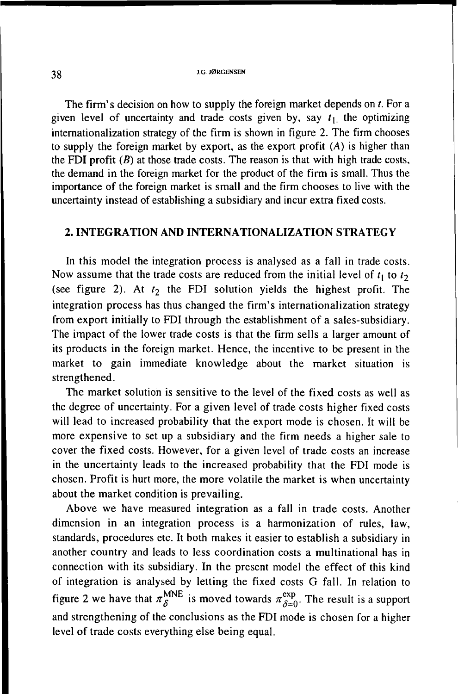The firm's decision on how to supply the foreign market depends on *t.* For a given level of uncertainty and trade costs given by, say  $t_1$  the optimizing internationalization strategy of the firm is shown in figure 2. The firm chooses to supply the foreign market by export, as the export profit (*A*) is higher than the FDI profit *(B)* at those trade costs. The reason is that with high trade costs, the demand in the foreign market for the product of the firm is small. Thus the importance of the foreign market is small and the firm chooses to live with the uncertainty instead of establishing a subsidiary and incur extra fixed costs.

## **2. INTEGRATION AND INTERNATIONALIZATION STRATEGY**

In this model the integration process is analysed as a fall in trade costs. Now assume that the trade costs are reduced from the initial level of  $t_1$  to  $t_2$ (see figure 2). At  $t_2$  the FDI solution yields the highest profit. The integration process has thus changed the firm's internationalization strategy from export initially to FDI through the establishment of a sales-subsidiary. The impact of the lower trade costs is that the firm sells a larger amount of its products in the foreign market. Hence, the incentive to be present in the market to gain immediate knowledge about the market situation is strengthened.

The market solution is sensitive to the level of the fixed costs as well as the degree of uncertainty. For a given level of trade costs higher fixed costs will lead to increased probability that the export mode is chosen. It will be more expensive to set up a subsidiary and the firm needs a higher sale to cover the fixed costs. However, for a given level of trade costs an increase in the uncertainty leads to the increased probability that the FDI mode is chosen. Profit is hurt more, the more volatile the market is when uncertainty about the market condition is prevailing.

Above we have measured integration as a fall in trade costs. Another dimension in an integration process is a harmonization of rules, law, standards, procedures etc. It both makes it easier to establish a subsidiary in another country and leads to less coordination costs a multinational has in connection with its subsidiary. In the present model the effect of this kind of integration is analysed by letting the fixed costs G fall. In relation to figure 2 we have that  $\pi_{\delta}^{\text{MNE}}$  is moved towards  $\pi_{\delta=0}^{\text{exp}}$ . The result is a support and strengthening of the conclusions as the FDI mode is chosen for a higher level of trade costs everything else being equal.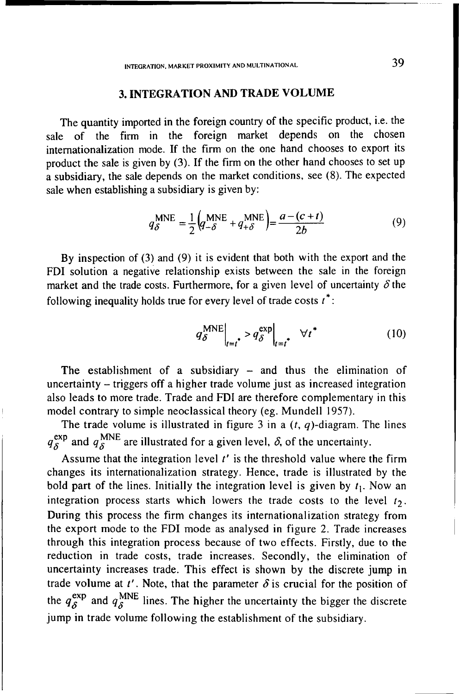## **3. INTEGRATION AND TRADE VOLUME**

The quantity imported in the foreign country of the specific product, i.e. the sale of the firm in the foreign market depends on the chosen internationalization mode. If the firm on the one hand chooses to export its product the sale is given by (3). If the firm on the other hand chooses to set up a subsidiary, the sale depends on the market conditions, see (8). The expected sale when establishing a subsidiary is given by:

$$
q_{\delta}^{\text{MNE}} = \frac{1}{2} \left( q_{-\delta}^{\text{MNE}} + q_{+\delta}^{\text{MNE}} \right) = \frac{a - (c + t)}{2b} \tag{9}
$$

By inspection of (3) and (9) it is evident that both with the export and the FDI solution a negative relationship exists between the sale in the foreign market and the trade costs. Furthermore, for a given level of uncertainty  $\delta$  the following inequality holds true for every level of trade costs  $t^*$ :

$$
q_{\delta}^{\text{MNE}}\Big|_{t=t^*} > q_{\delta}^{\text{exp}}\Big|_{t=t^*} \quad \forall t^* \tag{10}
$$

The establishment of a subsidiary - and thus the elimination of uncertainty - triggers off a higher trade volume just as increased integration also leads to more trade. Trade and FDI are therefore complementary in this model contrary to simple neoclassical theory (eg. Mundell 1957).

The trade volume is illustrated in figure  $3$  in a  $(t, q)$ -diagram. The lines  $q_{\delta}^{\text{exp}}$  and  $q_{\delta}^{\text{MNE}}$  are illustrated for a given level,  $\delta$ , of the uncertainty.

Assume that the integration level *t'* is the threshold value where the firm changes its internationalization strategy. Hence, trade is illustrated by the bold part of the lines. Initially the integration level is given by  $t_1$ . Now an integration process starts which lowers the trade costs to the level  $t_2$ . During this process the firm changes its internationalization strategy from the export mode to the FDI mode as analysed in figure 2. Trade increases through this integration process because of two effects. Firstly, due to the reduction in trade costs, trade increases. Secondly, the elimination of uncertainty increases trade. This effect is shown by the discrete jump in trade volume at  $t'$ . Note, that the parameter  $\delta$  is crucial for the position of the  $q_{\delta}^{\text{exp}}$  and  $q_{\delta}^{\text{MNE}}$  lines. The higher the uncertainty the bigger the discrete jump in trade volume following the establishment of the subsidiary.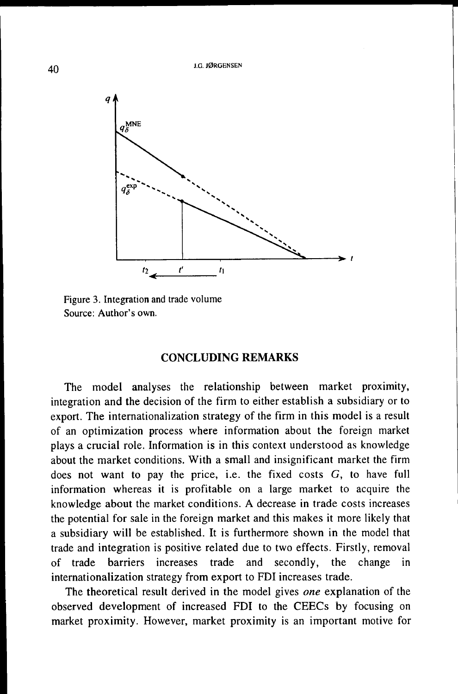

Figure 3. Integration and trade volume Source: Author's own.

## CONCLUDING REMARKS

The model analyses the relationship between market proximity, integration and the decision of the firm to either establish a subsidiary or to export. The internationalization strategy of the firm in this model is a result of an optimization process where information about the foreign market plays a crucial role. Information is in this context understood as knowledge about the market conditions. With a small and insignificant market the firm does not want to pay the price, i.e. the fixed costs  $G$ , to have full information whereas it is profitable on a large market to acquire the knowledge about the market conditions. A decrease in trade costs increases the potential for sale in the foreign market and this makes it more likely that a subsidiary will be established. It is furthermore shown in the model that trade and integration is positive related due to two effects. Firstly, removal of trade barriers increases trade and secondly, the change in internationalization strategy from export to FDI increases trade.

The theoretical result derived in the model gives *one* explanation of the observed development of increased FDI to the CEECs by focusing on market proximity. However, market proximity is an important motive for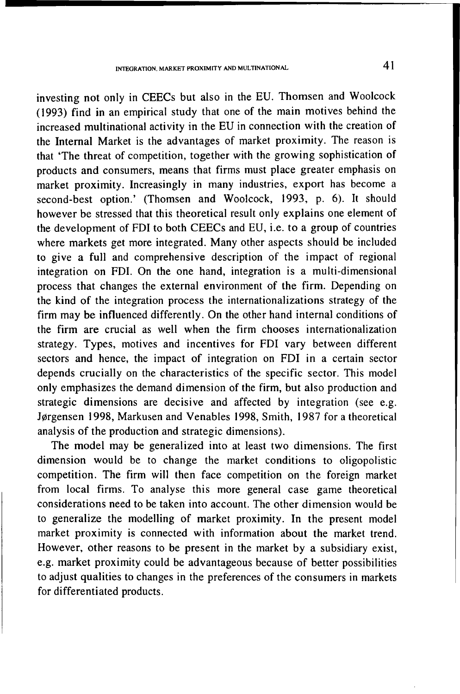investing not only in CEECs but also in the EU. Thomsen and Woolcock (1993) find in an empirical study that one of the main motives behind the increased multinational activity in the EU in connection with the creation of the Internal Market is the advantages of market proximity. The reason is that 'The threat of competition, together with the growing sophistication of products and consumers, means that firms must place greater emphasis on market proximity. Increasingly in many industries, export has become a second-best option.' (Thomsen and Woolcock, 1993, p. 6). It should however be stressed that this theoretical result only explains one element of the development of FDI to both CEECs and EU, i.e. to a group of countries where markets get more integrated. Many other aspects should be included to give a full and comprehensive description of the impact of regional integration on FDI. On the one hand, integration is a multi-dimensional process that changes the external environment of the firm. Depending on the kind of the integration process the internationalizations strategy of the firm may be influenced differently. On the other hand internal conditions of the firm are crucial as well when the firm chooses internationalization strategy. Types, motives and incentives for FDI vary between different sectors and hence, the impact of integration on FDI in a certain sector depends crucially on the characteristics of the specific sector. This model only emphasizes the demand dimension of the firm, but also production and strategic dimensions are decisive and affected by integration (see e.g. Jørgensen 1998, Markusen and Venables 1998, Smith, 1987 for a theoretical analysis of the production and strategic dimensions).

The model may be generalized into at least two dimensions. The first dimension would be to change the market conditions to oligopolistic competition. The firm will then face competition on the foreign market from local firms. To analyse this more general case game theoretical considerations need to be taken into account. The other dimension would be to generalize the modelling of market proximity. In the present model market proximity is connected with information about the market trend. However, other reasons to be present in the market by a subsidiary exist, e.g. market proximity could be advantageous because of better possibilities to adjust qualities to changes in the preferences of the consumers in markets for differentiated products.